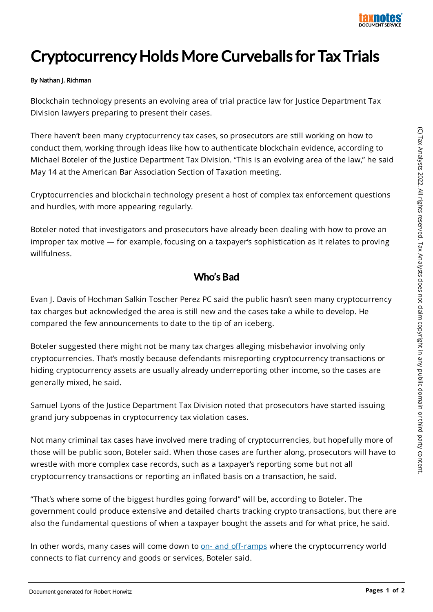

## Cryptocurrency Holds More Curveballs for Tax Trials

## By Nathan J. Richman

Blockchain technology presents an evolving area of trial practice law for Justice Department Tax Division lawyers preparing to present their cases.

There haven't been many cryptocurrency tax cases, so prosecutors are still working on how to conduct them, working through ideas like how to authenticate blockchain evidence, according to Michael Boteler of the Justice Department Tax Division. "This is an evolving area of the law," he said May 14 at the American Bar Association Section of Taxation meeting.

Cryptocurrencies and blockchain technology present a host of complex tax enforcement questions and hurdles, with more appearing regularly.

Boteler noted that investigators and prosecutors have already been dealing with how to prove an improper tax motive — for example, focusing on a taxpayer's sophistication as it relates to proving willfulness.

## Who's Bad

Evan J. Davis of Hochman Salkin Toscher Perez PC said the public hasn't seen many cryptocurrency tax charges but acknowledged the area is still new and the cases take a while to develop. He compared the few announcements to date to the tip of an iceberg.

Boteler suggested there might not be many tax charges alleging misbehavior involving only cryptocurrencies. That's mostly because defendants misreporting cryptocurrency transactions or hiding cryptocurrency assets are usually already underreporting other income, so the cases are generally mixed, he said.

Samuel Lyons of the Justice Department Tax Division noted that prosecutors have started issuing grand jury subpoenas in cryptocurrency tax violation cases.

Not many criminal tax cases have involved mere trading of cryptocurrencies, but hopefully more of those will be public soon, Boteler said. When those cases are further along, prosecutors will have to wrestle with more complex case records, such as a taxpayer's reporting some but not all cryptocurrency transactions or reporting an inflated basis on a transaction, he said.

"That's where some of the biggest hurdles going forward" will be, according to Boteler. The government could produce extensive and detailed charts tracking crypto transactions, but there are also the fundamental questions of when a taxpayer bought the assets and for what price, he said.

In other words, many cases will come down to on- and off-ramps where the cryptocurrency world connects to fiat currency and goods or services, Boteler said.